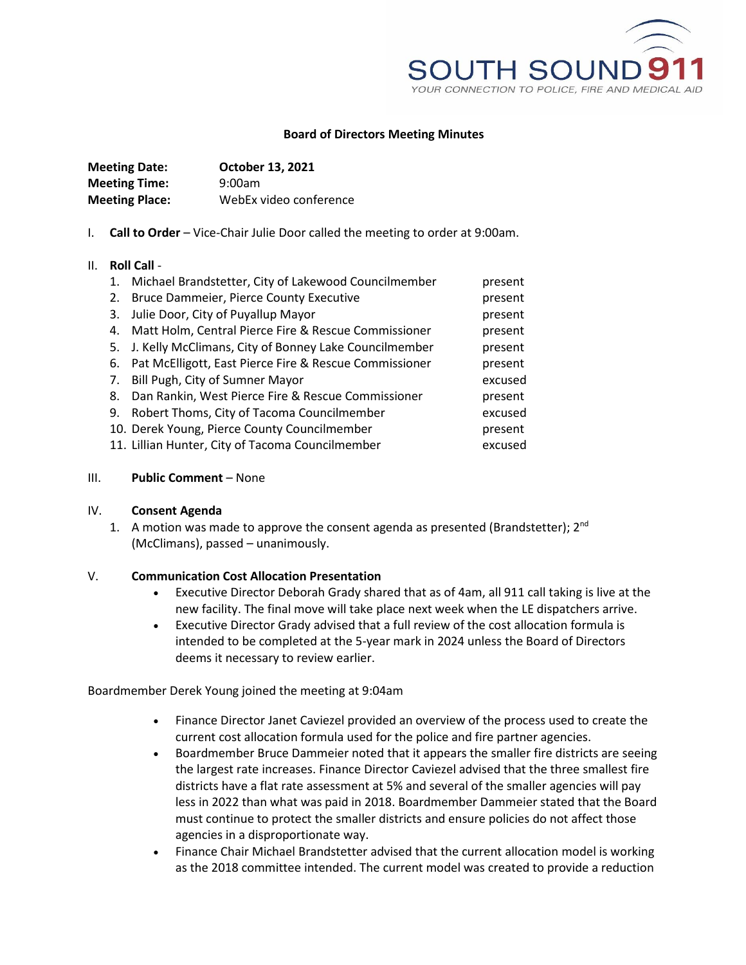

## **Board of Directors Meeting Minutes**

| <b>Meeting Date:</b>  | October 13, 2021       |
|-----------------------|------------------------|
| <b>Meeting Time:</b>  | 9:00am                 |
| <b>Meeting Place:</b> | WebEx video conference |

I. **Call to Order** – Vice-Chair Julie Door called the meeting to order at 9:00am.

### II. **Roll Call** -

| 1. | Michael Brandstetter, City of Lakewood Councilmember     | present |
|----|----------------------------------------------------------|---------|
| 2. | Bruce Dammeier, Pierce County Executive                  | present |
| 3. | Julie Door, City of Puyallup Mayor                       | present |
| 4. | Matt Holm, Central Pierce Fire & Rescue Commissioner     | present |
|    | 5. J. Kelly McClimans, City of Bonney Lake Councilmember | present |
| 6. | Pat McElligott, East Pierce Fire & Rescue Commissioner   | present |
| 7. | Bill Pugh, City of Sumner Mayor                          | excused |
| 8. | Dan Rankin, West Pierce Fire & Rescue Commissioner       | present |
| 9. | Robert Thoms, City of Tacoma Councilmember               | excused |
|    | 10. Derek Young, Pierce County Councilmember             | present |
|    | 11. Lillian Hunter, City of Tacoma Councilmember         | excused |

### III. **Public Comment** – None

#### IV. **Consent Agenda**

1. A motion was made to approve the consent agenda as presented (Brandstetter);  $2^{nd}$ (McClimans), passed – unanimously.

# V. **Communication Cost Allocation Presentation**

- Executive Director Deborah Grady shared that as of 4am, all 911 call taking is live at the new facility. The final move will take place next week when the LE dispatchers arrive.
- Executive Director Grady advised that a full review of the cost allocation formula is intended to be completed at the 5-year mark in 2024 unless the Board of Directors deems it necessary to review earlier.

Boardmember Derek Young joined the meeting at 9:04am

- Finance Director Janet Caviezel provided an overview of the process used to create the current cost allocation formula used for the police and fire partner agencies.
- Boardmember Bruce Dammeier noted that it appears the smaller fire districts are seeing the largest rate increases. Finance Director Caviezel advised that the three smallest fire districts have a flat rate assessment at 5% and several of the smaller agencies will pay less in 2022 than what was paid in 2018. Boardmember Dammeier stated that the Board must continue to protect the smaller districts and ensure policies do not affect those agencies in a disproportionate way.
- Finance Chair Michael Brandstetter advised that the current allocation model is working as the 2018 committee intended. The current model was created to provide a reduction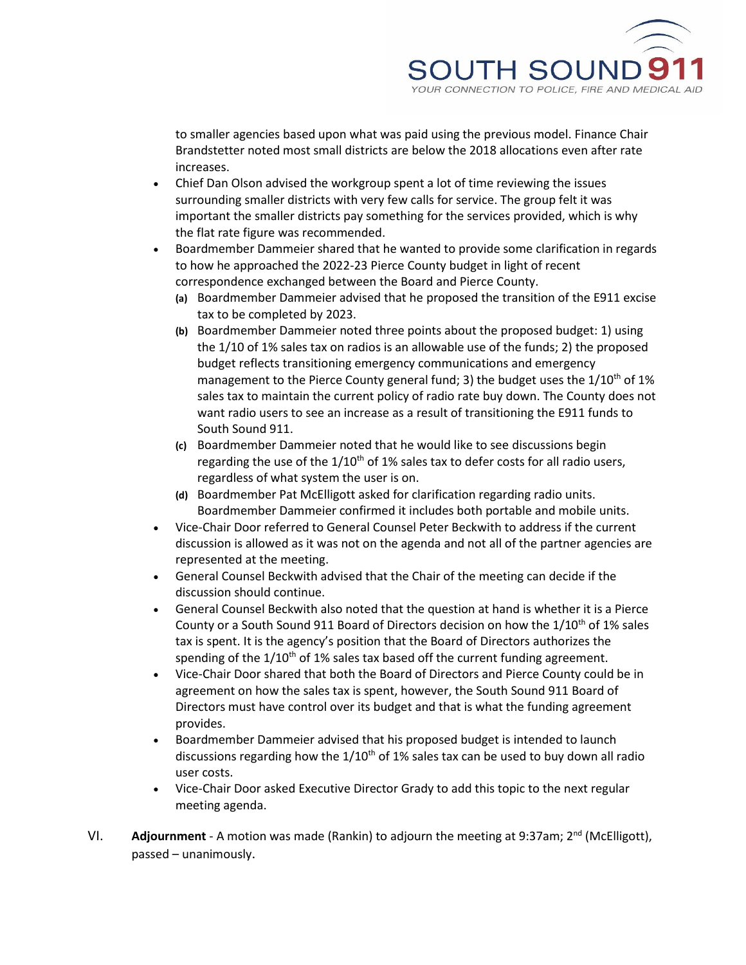

to smaller agencies based upon what was paid using the previous model. Finance Chair Brandstetter noted most small districts are below the 2018 allocations even after rate increases.

- Chief Dan Olson advised the workgroup spent a lot of time reviewing the issues surrounding smaller districts with very few calls for service. The group felt it was important the smaller districts pay something for the services provided, which is why the flat rate figure was recommended.
- Boardmember Dammeier shared that he wanted to provide some clarification in regards to how he approached the 2022-23 Pierce County budget in light of recent correspondence exchanged between the Board and Pierce County.
	- **(a)** Boardmember Dammeier advised that he proposed the transition of the E911 excise tax to be completed by 2023.
	- **(b)** Boardmember Dammeier noted three points about the proposed budget: 1) using the 1/10 of 1% sales tax on radios is an allowable use of the funds; 2) the proposed budget reflects transitioning emergency communications and emergency management to the Pierce County general fund; 3) the budget uses the  $1/10^{th}$  of 1% sales tax to maintain the current policy of radio rate buy down. The County does not want radio users to see an increase as a result of transitioning the E911 funds to South Sound 911.
	- **(c)** Boardmember Dammeier noted that he would like to see discussions begin regarding the use of the  $1/10<sup>th</sup>$  of 1% sales tax to defer costs for all radio users, regardless of what system the user is on.
	- **(d)** Boardmember Pat McElligott asked for clarification regarding radio units. Boardmember Dammeier confirmed it includes both portable and mobile units.
- Vice-Chair Door referred to General Counsel Peter Beckwith to address if the current discussion is allowed as it was not on the agenda and not all of the partner agencies are represented at the meeting.
- General Counsel Beckwith advised that the Chair of the meeting can decide if the discussion should continue.
- General Counsel Beckwith also noted that the question at hand is whether it is a Pierce County or a South Sound 911 Board of Directors decision on how the  $1/10^{th}$  of 1% sales tax is spent. It is the agency's position that the Board of Directors authorizes the spending of the  $1/10^{th}$  of 1% sales tax based off the current funding agreement.
- Vice-Chair Door shared that both the Board of Directors and Pierce County could be in agreement on how the sales tax is spent, however, the South Sound 911 Board of Directors must have control over its budget and that is what the funding agreement provides.
- Boardmember Dammeier advised that his proposed budget is intended to launch discussions regarding how the  $1/10^{th}$  of 1% sales tax can be used to buy down all radio user costs.
- Vice-Chair Door asked Executive Director Grady to add this topic to the next regular meeting agenda.
- VI. **Adjournment** A motion was made (Rankin) to adjourn the meeting at 9:37am; 2<sup>nd</sup> (McElligott), passed – unanimously.